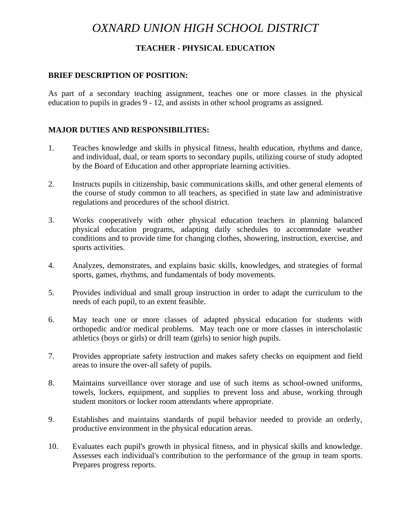# *OXNARD UNION HIGH SCHOOL DISTRICT*

## **TEACHER - PHYSICAL EDUCATION**

#### **BRIEF DESCRIPTION OF POSITION:**

As part of a secondary teaching assignment, teaches one or more classes in the physical education to pupils in grades 9 - 12, and assists in other school programs as assigned.

#### **MAJOR DUTIES AND RESPONSIBILITIES:**

- 1. Teaches knowledge and skills in physical fitness, health education, rhythms and dance, and individual, dual, or team sports to secondary pupils, utilizing course of study adopted by the Board of Education and other appropriate learning activities.
- 2. Instructs pupils in citizenship, basic communications skills, and other general elements of the course of study common to all teachers, as specified in state law and administrative regulations and procedures of the school district.
- 3. Works cooperatively with other physical education teachers in planning balanced physical education programs, adapting daily schedules to accommodate weather conditions and to provide time for changing clothes, showering, instruction, exercise, and sports activities.
- 4. Analyzes, demonstrates, and explains basic skills, knowledges, and strategies of formal sports, games, rhythms, and fundamentals of body movements.
- 5. Provides individual and small group instruction in order to adapt the curriculum to the needs of each pupil, to an extent feasible.
- 6. May teach one or more classes of adapted physical education for students with orthopedic and/or medical problems. May teach one or more classes in interscholastic athletics (boys or girls) or drill team (girls) to senior high pupils.
- 7. Provides appropriate safety instruction and makes safety checks on equipment and field areas to insure the over-all safety of pupils.
- 8. Maintains surveillance over storage and use of such items as school-owned uniforms, towels, lockers, equipment, and supplies to prevent loss and abuse, working through student monitors or locker room attendants where appropriate.
- 9. Establishes and maintains standards of pupil behavior needed to provide an orderly, productive environment in the physical education areas.
- 10. Evaluates each pupil's growth in physical fitness, and in physical skills and knowledge. Assesses each individual's contribution to the performance of the group in team sports. Prepares progress reports.